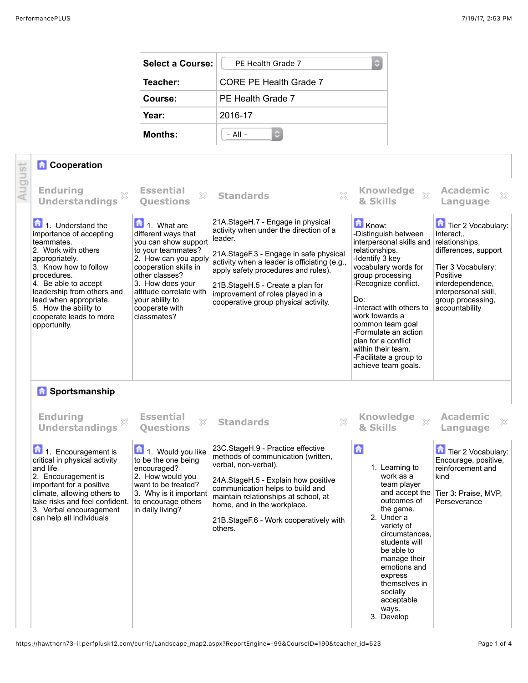| <b>Select a Course:</b> | PE Health Grade 7             |  |  |
|-------------------------|-------------------------------|--|--|
| Teacher:                | <b>CORE PE Health Grade 7</b> |  |  |
| Course:                 | PE Health Grade 7             |  |  |
| Year:                   | 2016-17                       |  |  |
| <b>Months:</b>          | $-$ All $-$<br>О              |  |  |

## *Cooperation* August

| <b>Enduring</b><br><b>Understandings</b>                                                                                                                                                                                                                                                                          | <b>Essential</b><br>X<br><b>Questions</b>                                                                                                                                                                                                                                    | X<br><b>Standards</b>                                                                                                                                                                                                                                                                                                                    | <b>Knowledge</b><br>$\chi$<br>& Skills                                                                                                                                                                                                                                                                                                                            | <b>Academic</b><br>X<br>Language                                                                                                                                                                |
|-------------------------------------------------------------------------------------------------------------------------------------------------------------------------------------------------------------------------------------------------------------------------------------------------------------------|------------------------------------------------------------------------------------------------------------------------------------------------------------------------------------------------------------------------------------------------------------------------------|------------------------------------------------------------------------------------------------------------------------------------------------------------------------------------------------------------------------------------------------------------------------------------------------------------------------------------------|-------------------------------------------------------------------------------------------------------------------------------------------------------------------------------------------------------------------------------------------------------------------------------------------------------------------------------------------------------------------|-------------------------------------------------------------------------------------------------------------------------------------------------------------------------------------------------|
| $\boxed{\bullet}$ 1. Understand the<br>importance of accepting<br>teammates.<br>2. Work with others<br>appropriately.<br>3. Know how to follow<br>procedures.<br>4. Be able to accept<br>leadership from others and<br>lead when appropriate.<br>5. How the ability to<br>cooperate leads to more<br>opportunity. | $\boxed{\phantom{1}}$ 1. What are<br>different ways that<br>you can show support<br>to your teammates?<br>2. How can you apply<br>cooperation skills in<br>other classes?<br>3. How does your<br>attitude correlate with<br>your ability to<br>cooperate with<br>classmates? | 21A. StageH.7 - Engage in physical<br>activity when under the direction of a<br>leader.<br>21A.StageF.3 - Engage in safe physical<br>activity when a leader is officiating (e.g.,<br>apply safety procedures and rules).<br>21B.StageH.5 - Create a plan for<br>improvement of roles played in a<br>cooperative group physical activity. | Know:<br>-Distinguish between<br>interpersonal skills and<br>relationships.<br>-Identify 3 key<br>vocabulary words for<br>group processing<br>-Recognize conflict.<br>Do:<br>-Interact with others to<br>work towards a<br>common team goal<br>-Formulate an action<br>plan for a conflict<br>within their team.<br>-Facilitate a group to<br>achieve team goals. | Tier 2 Vocabulary:<br>Interact,,<br>relationships,<br>differences, support<br>Tier 3 Vocabulary:<br>Positive<br>interdependence,<br>interpersonal skill,<br>group processing,<br>accountability |
| <b>A</b> Sportsmanship                                                                                                                                                                                                                                                                                            |                                                                                                                                                                                                                                                                              |                                                                                                                                                                                                                                                                                                                                          |                                                                                                                                                                                                                                                                                                                                                                   |                                                                                                                                                                                                 |
| <b>Enduring</b><br>×<br><b>Understandings</b>                                                                                                                                                                                                                                                                     | <b>Essential</b><br>×<br><b>Ouestions</b>                                                                                                                                                                                                                                    | X<br><b>Standards</b>                                                                                                                                                                                                                                                                                                                    | <b>Knowledge</b><br>$\chi$<br>& Skills                                                                                                                                                                                                                                                                                                                            | <b>Academic</b><br>×<br>Language                                                                                                                                                                |
| 1. Encouragement is<br>critical in physical activity<br>and life<br>2. Encouragement is<br>important for a positive<br>climate, allowing others to<br>take risks and feel confident.<br>3. Verbal encouragement<br>can help all individuals                                                                       | 1. Would you like<br>to be the one being<br>encouraged?<br>2. How would you<br>want to be treated?<br>3. Why is it important<br>to encourage others<br>in daily living?                                                                                                      | 23C.StageH.9 - Practice effective<br>methods of communication (written,<br>verbal, non-verbal).<br>24A.StageH.5 - Explain how positive<br>communication helps to build and<br>maintain relationships at school, at<br>home, and in the workplace.<br>21B. Stage F.6 - Work cooperatively with<br>others.                                 | 台<br>1. Learning to<br>work as a<br>team player<br>and accept the<br>outcomes of<br>the game.<br>2. Under a<br>variety of<br>circumstances.<br>students will<br>be able to<br>manage their<br>emotions and<br>express<br>themselves in<br>socially<br>acceptable<br>ways.<br>3. Develop                                                                           | Tier 2 Vocabulary:<br>Encourage, positive,<br>reinforcement and<br>kind<br>Tier 3: Praise, MVP,<br>Perseverance                                                                                 |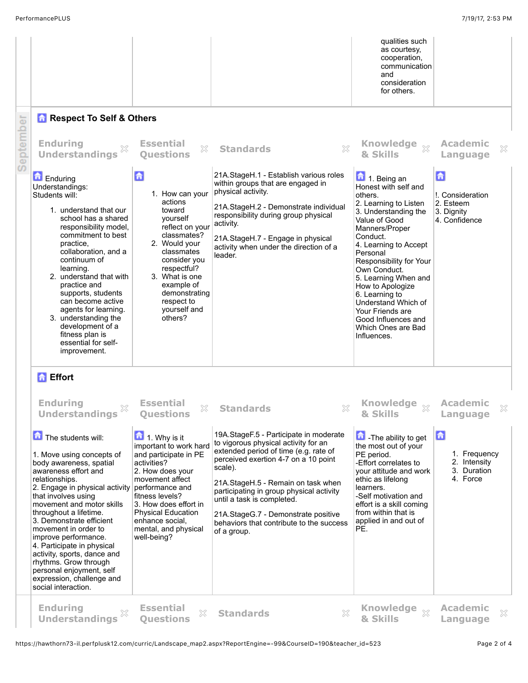|           |                                                                                                                                                                                                                                                                                                                                                                                                                                                                                                                                                       |                                                                                                                                                                                                                                                                                                                                                 |                                                                                                                                                                                                                                                                                                                                                                                                                       | qualities such<br>as courtesy,<br>cooperation,<br>communication<br>and<br>consideration<br>for others.                                                                                                                                                                                                                                                                                              |                                                                                                  |
|-----------|-------------------------------------------------------------------------------------------------------------------------------------------------------------------------------------------------------------------------------------------------------------------------------------------------------------------------------------------------------------------------------------------------------------------------------------------------------------------------------------------------------------------------------------------------------|-------------------------------------------------------------------------------------------------------------------------------------------------------------------------------------------------------------------------------------------------------------------------------------------------------------------------------------------------|-----------------------------------------------------------------------------------------------------------------------------------------------------------------------------------------------------------------------------------------------------------------------------------------------------------------------------------------------------------------------------------------------------------------------|-----------------------------------------------------------------------------------------------------------------------------------------------------------------------------------------------------------------------------------------------------------------------------------------------------------------------------------------------------------------------------------------------------|--------------------------------------------------------------------------------------------------|
| September | <b>Respect To Self &amp; Others</b><br><b>Enduring</b><br>X<br><b>Understandings</b>                                                                                                                                                                                                                                                                                                                                                                                                                                                                  | <b>Essential</b><br>×<br><b>Ouestions</b>                                                                                                                                                                                                                                                                                                       | ×<br><b>Standards</b>                                                                                                                                                                                                                                                                                                                                                                                                 | <b>Knowledge</b><br>$\chi$<br>& Skills                                                                                                                                                                                                                                                                                                                                                              | <b>Academic</b><br>×<br>Language                                                                 |
|           | <b>D</b> Enduring<br>Understandings:<br>Students will:<br>1. understand that our<br>school has a shared<br>responsibility model,<br>commitment to best<br>practice,<br>collaboration, and a<br>continuum of<br>learning.<br>2. understand that with<br>practice and<br>supports, students<br>can become active<br>agents for learning.<br>3. understanding the<br>development of a<br>fitness plan is<br>essential for self-<br>improvement.                                                                                                          | 6<br>1. How can your<br>actions<br>toward<br>yourself<br>reflect on your<br>classmates?<br>2. Would your<br>classmates<br>consider you<br>respectful?<br>3. What is one<br>example of<br>demonstrating<br>respect to<br>yourself and<br>others?                                                                                                 | 21A.StageH.1 - Establish various roles<br>within groups that are engaged in<br>physical activity.<br>21A.StageH.2 - Demonstrate individual<br>responsibility during group physical<br>activity.<br>21A.StageH.7 - Engage in physical<br>activity when under the direction of a<br>leader.                                                                                                                             | 1. Being an<br>Honest with self and<br>others.<br>2. Learning to Listen<br>3. Understanding the<br>Value of Good<br>Manners/Proper<br>Conduct.<br>4. Learning to Accept<br>Personal<br>Responsibility for Your<br>Own Conduct.<br>5. Learning When and<br>How to Apologize<br>6. Learning to<br>Understand Which of<br>Your Friends are<br>Good Influences and<br>Which Ones are Bad<br>Influences. | $\mathbf{G}$<br>!. Consideration<br>2. Esteem<br>3. Dignity<br>4. Confidence                     |
|           | <b>A</b> Effort<br><b>Enduring</b><br><b>Understandings</b><br>The students will:<br>1. Move using concepts of<br>body awareness, spatial<br>awareness effort and<br>relationships.<br>2. Engage in physical activity<br>that involves using<br>movement and motor skills<br>throughout a lifetime.<br>3. Demonstrate efficient<br>movement in order to<br>improve performance.<br>4. Participate in physical<br>activity, sports, dance and<br>rhythms. Grow through<br>personal enjoyment, self<br>expression, challenge and<br>social interaction. | <b>Essential</b><br>×<br><b>Ouestions</b><br>$\boxed{\blacksquare}$ 1. Why is it<br>important to work hard<br>and participate in PE<br>activities?<br>2. How does your<br>movement affect<br>performance and<br>fitness levels?<br>3. How does effort in<br><b>Physical Education</b><br>enhance social,<br>mental, and physical<br>well-being? | ×<br><b>Standards</b><br>19A.StageF.5 - Participate in moderate<br>to vigorous physical activity for an<br>extended period of time (e.g. rate of<br>perceived exertion 4-7 on a 10 point<br>scale).<br>21A.StageH.5 - Remain on task when<br>participating in group physical activity<br>until a task is completed.<br>21A.StageG.7 - Demonstrate positive<br>behaviors that contribute to the success<br>of a group. | <b>Knowledge</b><br>$\chi$<br>& Skills<br>The ability to get<br>the most out of your<br>PE period.<br>-Effort correlates to<br>your attitude and work<br>ethic as lifelong<br>learners.<br>-Self motivation and<br>effort is a skill coming<br>from within that is<br>applied in and out of<br>PE.                                                                                                  | <b>Academic</b><br>×<br>Language<br>命<br>1. Frequency<br>2. Intensity<br>3. Duration<br>4. Force |
|           | <b>Enduring</b><br>×<br><b>Understandings</b>                                                                                                                                                                                                                                                                                                                                                                                                                                                                                                         | <b>Essential</b><br>X<br><b>Ouestions</b>                                                                                                                                                                                                                                                                                                       | ×<br><b>Standards</b>                                                                                                                                                                                                                                                                                                                                                                                                 | Knowledge xx<br>& Skills                                                                                                                                                                                                                                                                                                                                                                            | <b>Academic</b><br>×<br>Language                                                                 |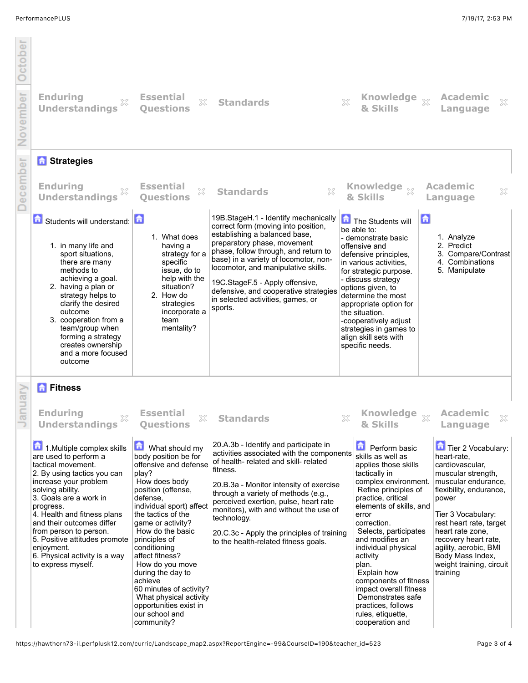